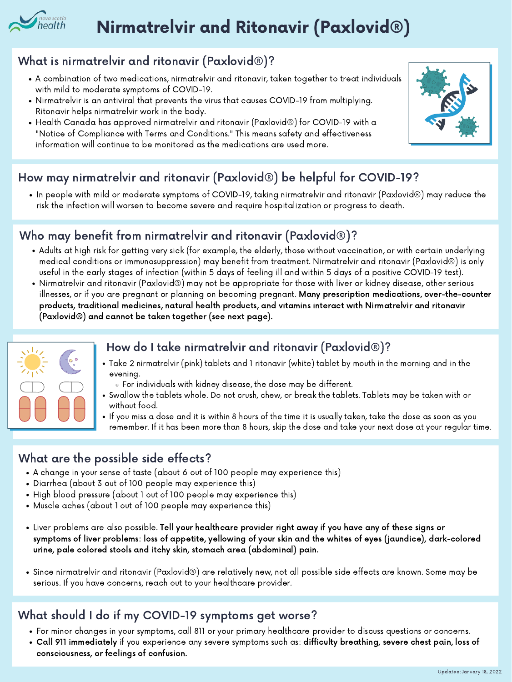# Nirmatrelvir and Ritonavir (Paxlovid®)

#### What is nirmatrelvir and ritonavir (Paxlovid®)?

- A combination of two medications, nirmatrelvir and ritonavir, taken together to treat individuals with mild to moderate symptoms of COVID-19.
- Nirmatrelvir is an antiviral that prevents the virus that causes COVID-19 from multiplying. Ritonavir helps nirmatrelvir work in the body.
- Health Canada has approved nirmatrelvir and ritonavir (Paxlovid®) for COVID-19 with a "Notice of Compliance with Terms and Conditions." This means safety and effectiveness information will continue to be monitored as the medications are used more.



 $\bullet$  In people with mild or moderate symptoms of COVID-19, taking nirmatrelvir and ritonavir (Paxlovid®) may reduce the risk the infection will worsen to become severe and require hospitalization or progress to death.

### How may nirmatrelvir and ritonavir (Paxlovid®) be helpful for COVID-19?

#### How do I take nirmatrelvir and ritonavir (Paxlovid®)?



- Take 2 nirmatrelvir (pink) tablets and 1 ritonavir (white) tablet by mouth in the morning and in the evening.
	- For individuals with kidney disease, the dose may be different.
- Swallow the tablets whole. Do not crush, chew, or break the tablets. Tablets may be taken with or without food.
- If you miss a dose and it is within 8 hours of the time it is usually taken, take the dose as soon as you remember. If it has been more than 8 hours, skip the dose and take your next dose at your regular time.

#### What are the possible side effects?

- A change in your sense of taste (about 6 out of 100 people may experience this)
- Diarrhea (about 3 out of 100 people may experience this)
- High blood pressure (about 1 out of 100 people may experience this)
- Muscle aches (about 1 out of 100 people may experience this)
- Liver problems are also possible. Tell your healthcare provider right away if you have any of these signs or symptoms of liver problems: loss of appetite, yellowing of your skin and the whites of eyes (jaundice), dark-colored urine, pale colored stools and itchy skin, stomach area (abdominal) pain.
- Since nirmatrelvir and ritonavir (Paxlovid®) are relatively new, not all possible side effects are known. Some may be serious. If you have concerns, reach out to your healthcare provider.

#### What should I do if my COVID-19 symptoms get worse?

- For minor changes in your symptoms, call 811 or your primary healthcare provider to discuss questions or concerns.
- Call 911 immediately if you experience any severe symptoms such as: difficulty breathing, severe chest pain, loss of consciousness, or feelings of confusion.

#### Who may benefit from nirmatrelvir and ritonavir (Paxlovid®)?

- Adults at high risk for getting very sick (for example, the elderly, those without vaccination, or with certain underlying medical conditions or immunosuppression) may benefit from treatment. Nirmatrelvir and ritonavir (Paxlovid®) is only useful in the early stages of infection (within 5 days of feeling ill and within 5 days of a positive COVID-19 test).
- Nirmatrelvir and ritonavir (Paxlovid®) may not be appropriate for those with liver or kidney disease, other serious illnesses, or if you are pregnant or planning on becoming pregnant. Many prescription medications, over-the-counter products, traditional medicines, natural health products, and vitamins interact with Nirmatrelvir and ritonavir (Paxlovid®) and cannot be taken together (see next page).